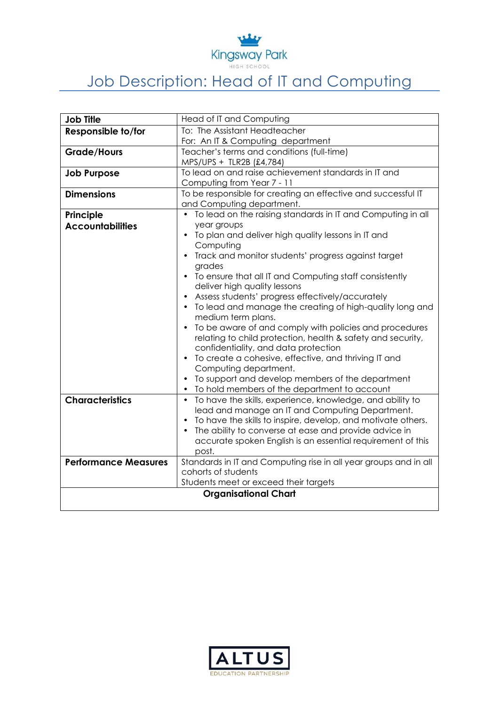

## Job Description: Head of IT and Computing

| <b>Job Title</b>            | Head of IT and Computing                                                                                    |
|-----------------------------|-------------------------------------------------------------------------------------------------------------|
| Responsible to/for          | To: The Assistant Headteacher                                                                               |
|                             | For: An IT & Computing department                                                                           |
| <b>Grade/Hours</b>          | Teacher's terms and conditions (full-time)                                                                  |
|                             | MPS/UPS + TLR2B (£4,784)                                                                                    |
| <b>Job Purpose</b>          | To lead on and raise achievement standards in IT and                                                        |
|                             | Computing from Year 7 - 11                                                                                  |
| <b>Dimensions</b>           | To be responsible for creating an effective and successful IT                                               |
|                             | and Computing department.                                                                                   |
| Principle                   | To lead on the raising standards in IT and Computing in all                                                 |
| <b>Accountabilities</b>     | year groups                                                                                                 |
|                             | To plan and deliver high quality lessons in IT and<br>Computing                                             |
|                             | Track and monitor students' progress against target                                                         |
|                             | grades                                                                                                      |
|                             | • To ensure that all IT and Computing staff consistently                                                    |
|                             | deliver high quality lessons                                                                                |
|                             | Assess students' progress effectively/accurately                                                            |
|                             | • To lead and manage the creating of high-quality long and                                                  |
|                             | medium term plans.                                                                                          |
|                             | To be aware of and comply with policies and procedures                                                      |
|                             | relating to child protection, health & safety and security,                                                 |
|                             | confidentiality, and data protection                                                                        |
|                             | To create a cohesive, effective, and thriving IT and<br>$\bullet$                                           |
|                             | Computing department.                                                                                       |
|                             | To support and develop members of the department                                                            |
| <b>Characteristics</b>      | To hold members of the department to account<br>• To have the skills, experience, knowledge, and ability to |
|                             | lead and manage an IT and Computing Department.                                                             |
|                             | To have the skills to inspire, develop, and motivate others.                                                |
|                             | The ability to converse at ease and provide advice in                                                       |
|                             | accurate spoken English is an essential requirement of this                                                 |
|                             | post.                                                                                                       |
| <b>Performance Measures</b> | Standards in IT and Computing rise in all year groups and in all                                            |
|                             | cohorts of students                                                                                         |
|                             | Students meet or exceed their targets                                                                       |
| <b>Organisational Chart</b> |                                                                                                             |
|                             |                                                                                                             |